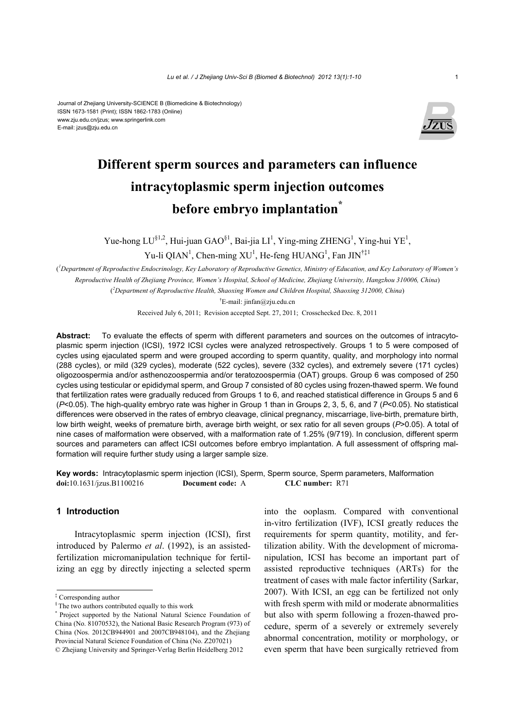#### Journal of Zhejiang University-SCIENCE B (Biomedicine & Biotechnology) ISSN 1673-1581 (Print); ISSN 1862-1783 (Online) www.zju.edu.cn/jzus; www.springerlink.com E-mail: jzus@zju.edu.cn



# **Different sperm sources and parameters can influence intracytoplasmic sperm injection outcomes before embryo implantation\***

Yue-hong LU<sup>§1,2</sup>, Hui-juan GAO<sup>§1</sup>, Bai-jia LI<sup>1</sup>, Ying-ming ZHENG<sup>1</sup>, Ying-hui YE<sup>1</sup>, Yu-li QIAN<sup>1</sup>, Chen-ming XU<sup>1</sup>, He-feng HUANG<sup>1</sup>, Fan JIN<sup>†‡1</sup>

( *1 Department of Reproductive Endocrinology, Key Laboratory of Reproductive Genetics, Ministry of Education, and Key Laboratory of Women's Reproductive Health of Zhejiang Province, Women's Hospital, School of Medicine, Zhejiang University, Hangzhou 310006, China*) ( *2 Department of Reproductive Health, Shaoxing Women and Children Hospital, Shaoxing 312000, China*)

† E-mail: jinfan@zju.edu.cn

Received July 6, 2011; Revision accepted Sept. 27, 2011; Crosschecked Dec. 8, 2011

**Abstract:** To evaluate the effects of sperm with different parameters and sources on the outcomes of intracytoplasmic sperm injection (ICSI), 1972 ICSI cycles were analyzed retrospectively. Groups 1 to 5 were composed of cycles using ejaculated sperm and were grouped according to sperm quantity, quality, and morphology into normal (288 cycles), or mild (329 cycles), moderate (522 cycles), severe (332 cycles), and extremely severe (171 cycles) oligozoospermia and/or asthenozoospermia and/or teratozoospermia (OAT) groups. Group 6 was composed of 250 cycles using testicular or epididymal sperm, and Group 7 consisted of 80 cycles using frozen-thawed sperm. We found that fertilization rates were gradually reduced from Groups 1 to 6, and reached statistical difference in Groups 5 and 6 (*P*<0.05). The high-quality embryo rate was higher in Group 1 than in Groups 2, 3, 5, 6, and 7 (*P*<0.05). No statistical differences were observed in the rates of embryo cleavage, clinical pregnancy, miscarriage, live-birth, premature birth, low birth weight, weeks of premature birth, average birth weight, or sex ratio for all seven groups (*P*>0.05). A total of nine cases of malformation were observed, with a malformation rate of 1.25% (9/719). In conclusion, different sperm sources and parameters can affect ICSI outcomes before embryo implantation. A full assessment of offspring malformation will require further study using a larger sample size.

**Key words:** Intracytoplasmic sperm injection (ICSI), Sperm, Sperm source, Sperm parameters, Malformation **doi:**10.1631/jzus.B1100216 **Document code:** A **CLC number:** R71

## **1 Introduction**

Intracytoplasmic sperm injection (ICSI), first introduced by Palermo *et al*. (1992), is an assistedfertilization micromanipulation technique for fertilizing an egg by directly injecting a selected sperm

‡ Corresponding author

into the ooplasm. Compared with conventional in-vitro fertilization (IVF), ICSI greatly reduces the requirements for sperm quantity, motility, and fertilization ability. With the development of micromanipulation, ICSI has become an important part of assisted reproductive techniques (ARTs) for the treatment of cases with male factor infertility (Sarkar, 2007). With ICSI, an egg can be fertilized not only with fresh sperm with mild or moderate abnormalities but also with sperm following a frozen-thawed procedure, sperm of a severely or extremely severely abnormal concentration, motility or morphology, or even sperm that have been surgically retrieved from

<sup>§</sup> The two authors contributed equally to this work

<sup>\*</sup> Project supported by the National Natural Science Foundation of China (No. 81070532), the National Basic Research Program (973) of China (Nos. 2012CB944901 and 2007CB948104), and the Zhejiang Provincial Natural Science Foundation of China (No. Z207021)

<sup>©</sup> Zhejiang University and Springer-Verlag Berlin Heidelberg 2012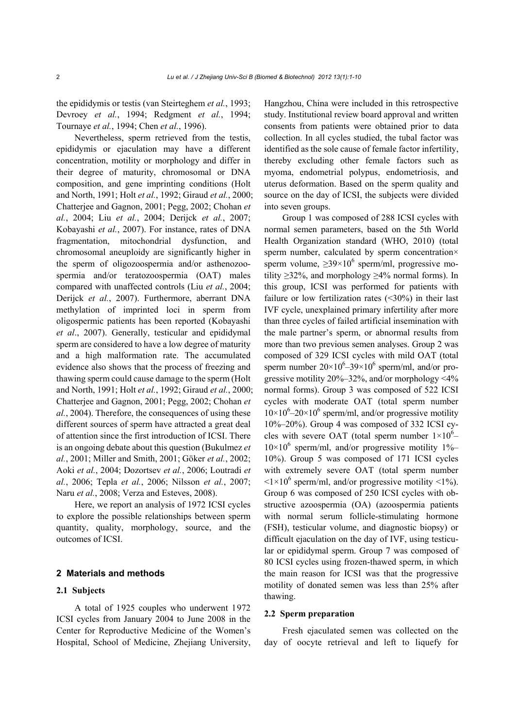the epididymis or testis (van Steirteghem *et al.*, 1993; Devroey *et al.*, 1994; Redgment *et al.*, 1994; Tournaye *et al.*, 1994; Chen *et al.*, 1996).

Nevertheless, sperm retrieved from the testis, epididymis or ejaculation may have a different concentration, motility or morphology and differ in their degree of maturity, chromosomal or DNA composition, and gene imprinting conditions (Holt and North, 1991; Holt *et al.*, 1992; Giraud *et al.*, 2000; Chatterjee and Gagnon, 2001; Pegg, 2002; Chohan *et al.*, 2004; Liu *et al.*, 2004; Derijck *et al.*, 2007; Kobayashi *et al.*, 2007). For instance, rates of DNA fragmentation, mitochondrial dysfunction, and chromosomal aneuploidy are significantly higher in the sperm of oligozoospermia and/or asthenozoospermia and/or teratozoospermia (OAT) males compared with unaffected controls (Liu *et al.*, 2004; Derijck *et al.*, 2007). Furthermore, aberrant DNA methylation of imprinted loci in sperm from oligospermic patients has been reported (Kobayashi *et al*., 2007). Generally, testicular and epididymal sperm are considered to have a low degree of maturity and a high malformation rate. The accumulated evidence also shows that the process of freezing and thawing sperm could cause damage to the sperm (Holt and North, 1991; Holt *et al.*, 1992; Giraud *et al.*, 2000; Chatterjee and Gagnon, 2001; Pegg, 2002; Chohan *et al.*, 2004). Therefore, the consequences of using these different sources of sperm have attracted a great deal of attention since the first introduction of ICSI. There is an ongoing debate about this question (Bukulmez *et al.*, 2001; Miller and Smith, 2001; Göker *et al.*, 2002; Aoki *et al.*, 2004; Dozortsev *et al.*, 2006; Loutradi *et al.*, 2006; Tepla *et al.*, 2006; Nilsson *et al.*, 2007; Naru *et al.*, 2008; Verza and Esteves, 2008).

Here, we report an analysis of 1972 ICSI cycles to explore the possible relationships between sperm quantity, quality, morphology, source, and the outcomes of ICSI.

## **2 Materials and methods**

## **2.1 Subjects**

A total of 1925 couples who underwent 1972 ICSI cycles from January 2004 to June 2008 in the Center for Reproductive Medicine of the Women's Hospital, School of Medicine, Zhejiang University, Hangzhou, China were included in this retrospective study. Institutional review board approval and written consents from patients were obtained prior to data collection. In all cycles studied, the tubal factor was identified as the sole cause of female factor infertility, thereby excluding other female factors such as myoma, endometrial polypus, endometriosis, and uterus deformation. Based on the sperm quality and source on the day of ICSI, the subjects were divided into seven groups.

Group 1 was composed of 288 ICSI cycles with normal semen parameters, based on the 5th World Health Organization standard (WHO, 2010) (total sperm number, calculated by sperm concentration× sperm volume,  $\geq 39 \times 10^6$  sperm/ml, progressive motility  $\geq$ 32%, and morphology  $\geq$ 4% normal forms). In this group, ICSI was performed for patients with failure or low fertilization rates  $(\leq 30\%)$  in their last IVF cycle, unexplained primary infertility after more than three cycles of failed artificial insemination with the male partner's sperm, or abnormal results from more than two previous semen analyses. Group 2 was composed of 329 ICSI cycles with mild OAT (total sperm number  $20 \times 10^6 - 39 \times 10^6$  sperm/ml, and/or progressive motility  $20\% - 32\%$ , and/or morphology <4% normal forms). Group 3 was composed of 522 ICSI cycles with moderate OAT (total sperm number  $10\times10^{6}$  –20×10<sup>6</sup> sperm/ml, and/or progressive motility 10%–20%). Group 4 was composed of 332 ICSI cycles with severe OAT (total sperm number  $1\times10^6$ - $10\times10^6$  sperm/ml, and/or progressive motility  $1\%$ -10%). Group 5 was composed of 171 ICSI cycles with extremely severe OAT (total sperm number  $\leq 1 \times 10^6$  sperm/ml, and/or progressive motility  $\leq 1\%$ ). Group 6 was composed of 250 ICSI cycles with obstructive azoospermia (OA) (azoospermia patients with normal serum follicle-stimulating hormone (FSH), testicular volume, and diagnostic biopsy) or difficult ejaculation on the day of IVF, using testicular or epididymal sperm. Group 7 was composed of 80 ICSI cycles using frozen-thawed sperm, in which the main reason for ICSI was that the progressive motility of donated semen was less than 25% after thawing.

#### **2.2 Sperm preparation**

Fresh ejaculated semen was collected on the day of oocyte retrieval and left to liquefy for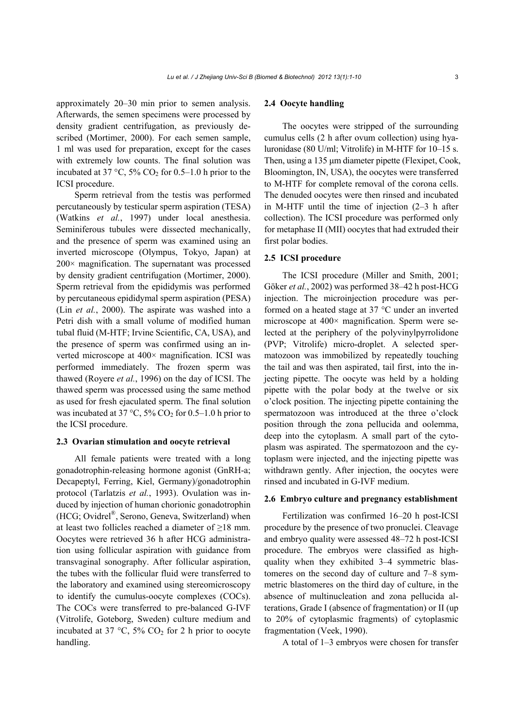approximately 20–30 min prior to semen analysis. Afterwards, the semen specimens were processed by density gradient centrifugation, as previously described (Mortimer, 2000). For each semen sample, 1 ml was used for preparation, except for the cases with extremely low counts. The final solution was incubated at 37 °C, 5% CO<sub>2</sub> for 0.5–1.0 h prior to the ICSI procedure.

Sperm retrieval from the testis was performed percutaneously by testicular sperm aspiration (TESA) (Watkins *et al.*, 1997) under local anesthesia. Seminiferous tubules were dissected mechanically, and the presence of sperm was examined using an inverted microscope (Olympus, Tokyo, Japan) at  $200\times$  magnification. The supernatant was processed by density gradient centrifugation (Mortimer, 2000). Sperm retrieval from the epididymis was performed by percutaneous epididymal sperm aspiration (PESA) (Lin *et al.*, 2000). The aspirate was washed into a Petri dish with a small volume of modified human tubal fluid (M-HTF; Irvine Scientific, CA, USA), and the presence of sperm was confirmed using an inverted microscope at 400× magnification. ICSI was performed immediately. The frozen sperm was thawed (Royere *et al.*, 1996) on the day of ICSI. The thawed sperm was processed using the same method as used for fresh ejaculated sperm. The final solution was incubated at 37 °C, 5% CO<sub>2</sub> for 0.5–1.0 h prior to the ICSI procedure.

## **2.3 Ovarian stimulation and oocyte retrieval**

All female patients were treated with a long gonadotrophin-releasing hormone agonist (GnRH-a; Decapeptyl, Ferring, Kiel, Germany)/gonadotrophin protocol (Tarlatzis *et al.*, 1993). Ovulation was induced by injection of human chorionic gonadotrophin (HCG; Ovidrel®, Serono, Geneva, Switzerland) when at least two follicles reached a diameter of ≥18 mm. Oocytes were retrieved 36 h after HCG administration using follicular aspiration with guidance from transvaginal sonography. After follicular aspiration, the tubes with the follicular fluid were transferred to the laboratory and examined using stereomicroscopy to identify the cumulus-oocyte complexes (COCs). The COCs were transferred to pre-balanced G-IVF (Vitrolife, Goteborg, Sweden) culture medium and incubated at 37  $\degree$ C, 5% CO<sub>2</sub> for 2 h prior to oocyte handling.

## **2.4 Oocyte handling**

The oocytes were stripped of the surrounding cumulus cells (2 h after ovum collection) using hyaluronidase (80 U/ml; Vitrolife) in M-HTF for 10–15 s. Then, using a 135 μm diameter pipette (Flexipet, Cook, Bloomington, IN, USA), the oocytes were transferred to M-HTF for complete removal of the corona cells. The denuded oocytes were then rinsed and incubated in M-HTF until the time of injection (2–3 h after collection). The ICSI procedure was performed only for metaphase II (MII) oocytes that had extruded their first polar bodies.

# **2.5 ICSI procedure**

The ICSI procedure (Miller and Smith, 2001; Göker *et al.*, 2002) was performed 38–42 h post-HCG injection. The microinjection procedure was performed on a heated stage at 37 °C under an inverted microscope at 400× magnification. Sperm were selected at the periphery of the polyvinylpyrrolidone (PVP; Vitrolife) micro-droplet. A selected spermatozoon was immobilized by repeatedly touching the tail and was then aspirated, tail first, into the injecting pipette. The oocyte was held by a holding pipette with the polar body at the twelve or six o'clock position. The injecting pipette containing the spermatozoon was introduced at the three o'clock position through the zona pellucida and oolemma, deep into the cytoplasm. A small part of the cytoplasm was aspirated. The spermatozoon and the cytoplasm were injected, and the injecting pipette was withdrawn gently. After injection, the oocytes were rinsed and incubated in G-IVF medium.

#### **2.6 Embryo culture and pregnancy establishment**

Fertilization was confirmed 16–20 h post-ICSI procedure by the presence of two pronuclei. Cleavage and embryo quality were assessed 48–72 h post-ICSI procedure. The embryos were classified as highquality when they exhibited 3–4 symmetric blastomeres on the second day of culture and 7–8 symmetric blastomeres on the third day of culture, in the absence of multinucleation and zona pellucida alterations, Grade I (absence of fragmentation) or II (up to 20% of cytoplasmic fragments) of cytoplasmic fragmentation (Veek, 1990).

A total of 1–3 embryos were chosen for transfer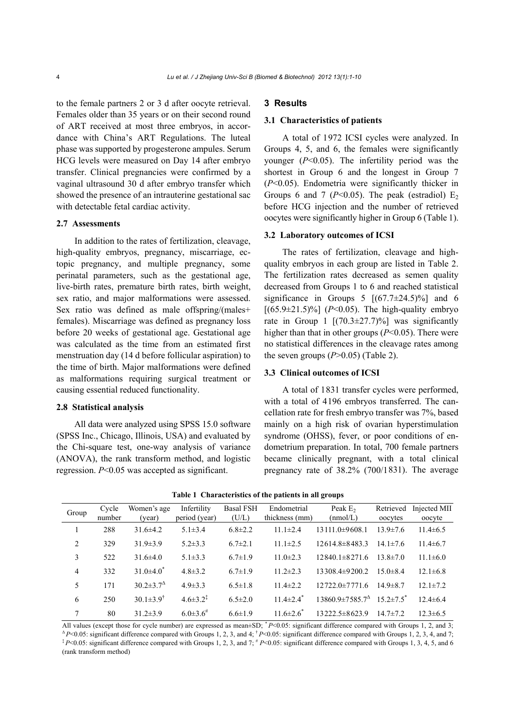to the female partners 2 or 3 d after oocyte retrieval. Females older than 35 years or on their second round of ART received at most three embryos, in accordance with China's ART Regulations. The luteal phase was supported by progesterone ampules. Serum HCG levels were measured on Day 14 after embryo transfer. Clinical pregnancies were confirmed by a vaginal ultrasound 30 d after embryo transfer which showed the presence of an intrauterine gestational sac with detectable fetal cardiac activity.

# **2.7 Assessments**

In addition to the rates of fertilization, cleavage, high-quality embryos, pregnancy, miscarriage, ectopic pregnancy, and multiple pregnancy, some perinatal parameters, such as the gestational age, live-birth rates, premature birth rates, birth weight, sex ratio, and major malformations were assessed. Sex ratio was defined as male offspring/(males+ females). Miscarriage was defined as pregnancy loss before 20 weeks of gestational age. Gestational age was calculated as the time from an estimated first menstruation day (14 d before follicular aspiration) to the time of birth. Major malformations were defined as malformations requiring surgical treatment or causing essential reduced functionality.

## **2.8 Statistical analysis**

All data were analyzed using SPSS 15.0 software (SPSS Inc., Chicago, Illinois, USA) and evaluated by the Chi-square test, one-way analysis of variance (ANOVA), the rank transform method, and logistic regression. *P*<0.05 was accepted as significant.

## **3 Results**

## **3.1 Characteristics of patients**

A total of 1972 ICSI cycles were analyzed. In Groups 4, 5, and 6, the females were significantly younger (*P*<0.05). The infertility period was the shortest in Group 6 and the longest in Group 7 (*P*<0.05). Endometria were significantly thicker in Groups 6 and 7  $(P<0.05)$ . The peak (estradiol) E<sub>2</sub> before HCG injection and the number of retrieved oocytes were significantly higher in Group 6 (Table 1).

# **3.2 Laboratory outcomes of ICSI**

The rates of fertilization, cleavage and highquality embryos in each group are listed in Table 2. The fertilization rates decreased as semen quality decreased from Groups 1 to 6 and reached statistical significance in Groups 5  $[(67.7 \pm 24.5)\%]$  and 6  $[(65.9 \pm 21.5)\%]$  (*P*<0.05). The high-quality embryo rate in Group 1  $[(70.3 \pm 27.7)\%]$  was significantly higher than that in other groups (*P*<0.05). There were no statistical differences in the cleavage rates among the seven groups  $(P>0.05)$  (Table 2).

## **3.3 Clinical outcomes of ICSI**

A total of 1831 transfer cycles were performed, with a total of 4196 embryos transferred. The cancellation rate for fresh embryo transfer was 7%, based mainly on a high risk of ovarian hyperstimulation syndrome (OHSS), fever, or poor conditions of endometrium preparation. In total, 700 female partners became clinically pregnant, with a total clinical pregnancy rate of 38.2% (700/1831). The average

| Group          | Cycle<br>number | Women's age<br>(year)                            | Infertility<br>period (year) | <b>Basal FSH</b><br>(U/L) | Endometrial<br>thickness (mm) | Peak $E2$<br>(mmol/L)                                  | Retrieved<br>oocytes | Injected MII<br>oocyte |
|----------------|-----------------|--------------------------------------------------|------------------------------|---------------------------|-------------------------------|--------------------------------------------------------|----------------------|------------------------|
|                | 288             | $31.6 \pm 4.2$                                   | $5.1 \pm 3.4$                | $6.8 \pm 2.2$             | $11.1 \pm 2.4$                | $13111.0\pm9608.1$                                     | $13.9 \pm 7.6$       | $11.4\pm 6.5$          |
| 2              | 329             | $31.9 \pm 3.9$                                   | $5.2 \pm 3.3$                | $6.7 \pm 2.1$             | $11.1 \pm 2.5$                | $12614.8 \pm 8483.3$                                   | $14.1 \pm 7.6$       | $11.4 \pm 6.7$         |
| 3              | 522             | $31.6\pm4.0$                                     | $5.1 \pm 3.3$                | $6.7 \pm 1.9$             | $11.0 \pm 2.3$                | $12840.1 \pm 8271.6$                                   | $13.8 \pm 7.0$       | $11.1\pm 6.0$          |
| $\overline{4}$ | 332             | $31.0\pm4.0^*$                                   | $4.8 \pm 3.2$                | $6.7 \pm 1.9$             | $11.2 \pm 2.3$                | $13308.4\pm9200.2$                                     | $15.0 \pm 8.4$       | $12.1\pm 6.8$          |
| 5              | 171             | $30.2 \pm 3.7$ <sup><math>\triangle</math></sup> | $4.9 \pm 3.3$                | $6.5 \pm 1.8$             | $11.4 \pm 2.2$                | $12722.0 \pm 7771.6$                                   | $14.9 \pm 8.7$       | $12.1 \pm 7.2$         |
| 6              | 250             | $30.1 \pm 3.9^{\dagger}$                         | $4.6 \pm 3.2^{\ddagger}$     | $6.5 \pm 2.0$             | $11.4 \pm 2.4$ <sup>*</sup>   | $13860.9 \pm 7585.7$ <sup><math>\triangle</math></sup> | $15.2 \pm 7.5$       | $12.4 \pm 6.4$         |
| 7              | 80              | $31.2 \pm 3.9$                                   | $6.0 \pm 3.6^{\#}$           | $6.6 \pm 1.9$             | $11.6 \pm 2.6^*$              | 13222.5 $\pm 8623.9$                                   | $14.7 \pm 7.2$       | $12.3\pm 6.5$          |

#### **Table 1 Characteristics of the patients in all groups**

All values (except those for cycle number) are expressed as mean±SD; \**P*<0.05: significant difference compared with Groups 1, 2, and 3; <sup>Δ</sup> *P*<0.05: significant difference compared with Groups 1, 2, 3, and 4; <sup>†</sup> *P*<0.05: significant difference compared with Groups 1, 2, 3, 4, and 7; ‡ *P*<0.05: significant difference compared with Groups 1, 2, 3, and 7; # *P*<0.05: significant difference compared with Groups 1, 3, 4, 5, and 6 (rank transform method)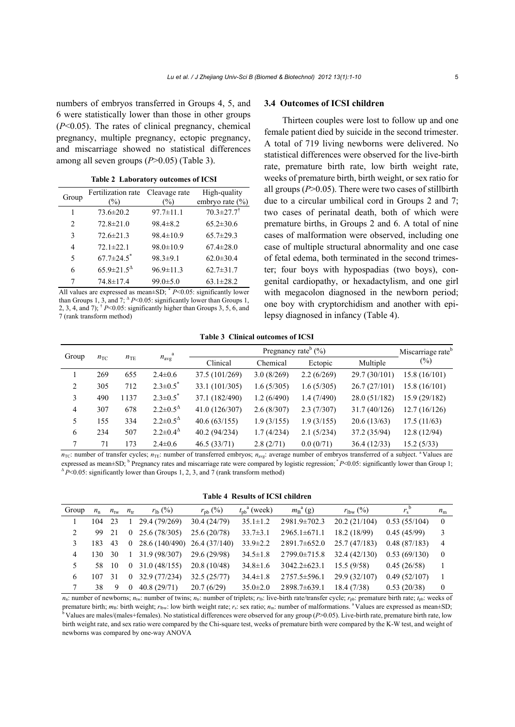numbers of embryos transferred in Groups 4, 5, and 6 were statistically lower than those in other groups (*P*<0.05). The rates of clinical pregnancy, chemical pregnancy, multiple pregnancy, ectopic pregnancy, and miscarriage showed no statistical differences among all seven groups (*P*>0.05) (Table 3).

**Table 2 Laboratory outcomes of ICSI**

| Group          | Fertilization rate<br>(%)    | Cleavage rate<br>$(\%)$ | High-quality<br>embryo rate $(\% )$ |
|----------------|------------------------------|-------------------------|-------------------------------------|
|                | $73.6 \pm 20.2$              | $97.7 \pm 11.1$         | $70.3 \pm 27.7$ <sup>†</sup>        |
| $\overline{c}$ | $72.8 \pm 21.0$              | $98.4 \pm 8.2$          | $65.2 \pm 30.6$                     |
| 3              | $72.6 \pm 21.3$              | $98.4 \pm 10.9$         | $65.7 \pm 29.3$                     |
| 4              | $72.1 \pm 22.1$              | $98.0 \pm 10.9$         | $67.4 \pm 28.0$                     |
| 5              | $67.7 \pm 24.5$ <sup>*</sup> | $98.3 \pm 9.1$          | $62.0 \pm 30.4$                     |
| 6              | $65.9 \pm 21.5^{\Delta}$     | $96.9 \pm 11.3$         | $62.7 \pm 31.7$                     |
|                | 74.8±17.4                    | $99.0 \pm 5.0$          | $63.1 \pm 28.2$                     |

All values are expressed as mean±SD;  $* P< 0.05$ : significantly lower than Groups 1, 3, and 7;  $\Delta P \le 0.05$ : significantly lower than Groups 1, 2, 3, 4, and 7);  $\frac{1}{2}P \le 0.05$ : significantly higher than Groups 3, 5, 6, and 7 (rank transform method)

### **3.4 Outcomes of ICSI children**

Thirteen couples were lost to follow up and one female patient died by suicide in the second trimester. A total of 719 living newborns were delivered. No statistical differences were observed for the live-birth rate, premature birth rate, low birth weight rate, weeks of premature birth, birth weight, or sex ratio for all groups (*P*>0.05). There were two cases of stillbirth due to a circular umbilical cord in Groups 2 and 7; two cases of perinatal death, both of which were premature births, in Groups 2 and 6. A total of nine cases of malformation were observed, including one case of multiple structural abnormality and one case of fetal edema, both terminated in the second trimester; four boys with hypospadias (two boys), congenital cardiopathy, or hexadactylism, and one girl with megacolon diagnosed in the newborn period; one boy with cryptorchidism and another with epilepsy diagnosed in infancy (Table 4).

**Table 3 Clinical outcomes of ICSI**

| Group          |              | $n_{\rm TE}$ | $n_{\text{avg}}^{\text{a}}$ |                | Miscarriage rate <sup>b</sup> |            |              |              |
|----------------|--------------|--------------|-----------------------------|----------------|-------------------------------|------------|--------------|--------------|
|                | $n_{\rm TC}$ |              |                             | Clinical       | Chemical                      | Ectopic    | Multiple     | $(\%)$       |
|                | 269          | 655          | $2.4 \pm 0.6$               | 37.5 (101/269) | 3.0(8/269)                    | 2.2(6/269) | 29.7(30/101) | 15.8(16/101) |
| 2              | 305          | 712          | $2.3 \pm 0.5$ <sup>*</sup>  | 33.1 (101/305) | 1.6(5/305)                    | 1.6(5/305) | 26.7(27/101) | 15.8(16/101) |
| 3              | 490          | 1137         | $2.3 \pm 0.5^*$             | 37.1 (182/490) | 1.2(6/490)                    | 1.4(7/490) | 28.0(51/182) | 15.9(29/182) |
| $\overline{4}$ | 307          | 678          | $2.2 \pm 0.5^{\Delta}$      | 41.0(126/307)  | 2.6(8/307)                    | 2.3(7/307) | 31.7(40/126) | 12.7(16/126) |
| 5              | 155          | 334          | $2.2 \pm 0.5^{\Delta}$      | 40.6(63/155)   | 1.9(3/155)                    | 1.9(3/155) | 20.6(13/63)  | 17.5(11/63)  |
| 6              | 234          | 507          | $2.2 \pm 0.4^{\Delta}$      | 40.2 (94/234)  | 1.7(4/234)                    | 2.1(5/234) | 37.2 (35/94) | 12.8 (12/94) |
| 7              | 71           | 173          | $2.4 \pm 0.6$               | 46.5(33/71)    | 2.8(2/71)                     | 0.0(0/71)  | 36.4(12/33)  | 15.2(5/33)   |

 $n_{\text{TC}}$ : number of transfer cycles;  $n_{\text{TE}}$ : number of transferred embryos;  $n_{\text{avg}}$ : average number of embryos transferred of a subject. <sup>a</sup> Values are expressed as mean±SD; <sup>b</sup> Pregnancy rates and miscarriage rate were compared by logistic regression;  $P \le 0.05$ : significantly lower than Group 1;  $\Delta P$ <0.05: significantly lower than Groups 1, 2, 3, and 7 (rank transform method)

**Table 4 Results of ICSI children**

| Group          | $n_{\rm n}$ | $n_{\rm tw}$ | $n_{\rm tr}$   | $r_{\rm lb}$ (%)        | $r_{\rm pb} (%)$ | $t_{\rm pb}$ <sup>a</sup> (week) | $m_{\rm B}^{a}$ (g) | $r_{\rm lbw}$ (%) | $r_{\rm s}$  | $n_{\rm m}$    |
|----------------|-------------|--------------|----------------|-------------------------|------------------|----------------------------------|---------------------|-------------------|--------------|----------------|
|                | 104 23      |              |                | 29.4 (79/269)           | 30.4(24/79)      | $35.1 \pm 1.2$                   | 2981.9±702.3        | 20.2(21/104)      | 0.53(55/104) | $\theta$       |
| 2              | 99          | - 21         |                | $0\quad 25.6\ (78/305)$ | 25.6(20/78)      | $33.7 \pm 3.1$                   | $2965.1 \pm 671.1$  | 18.2 (18/99)      | 0.45(45/99)  | 3              |
| 3              | 183         | 43           | $\overline{0}$ | 28.6 (140/490)          | 26.4(37/140)     | $33.9 \pm 2.2$                   | 2891.7±652.0        | 25.7(47/183)      | 0.48(87/183) | $\overline{4}$ |
| $\overline{4}$ | 130         | 30           | $\perp$        | 31.9 (98/307)           | 29.6 (29/98)     | $34.5 \pm 1.8$                   | 2799.0±715.8        | 32.4(42/130)      | 0.53(69/130) | $\theta$       |
| 5.             | 58          | - 10         |                | $0$ 31.0 (48/155)       | 20.8(10/48)      | $34.8 \pm 1.6$                   | $3042.2 \pm 623.1$  | 15.5(9/58)        | 0.45(26/58)  |                |
| 6              | 107         | 31           | $\Omega$       | 32.9 (77/234)           | 32.5(25/77)      | $34.4 \pm 1.8$                   | 2757.5 ± 596.1      | 29.9 (32/107)     | 0.49(52/107) |                |
|                | 38          | 9            | $\bf{0}$       | 40.8(29/71)             | 20.7(6/29)       | $35.0 \pm 2.0$                   | 2898.7±639.1        | 18.4(7/38)        | 0.53(20/38)  | $\theta$       |

 $n_{\rm m}$ : number of newborns;  $n_{\rm tw}$ : number of twins;  $n_{\rm tr}$ : number of triplets;  $r_{\rm lb}$ : live-birth rate/transfer cycle;  $r_{\rm pb}$ : premature birth rate;  $t_{\rm pb}$ : weeks of premature birth;  $m_B$ : birth weight;  $r_{\text{low}}$ : low birth weight rate;  $r_s$ : sex ratio;  $n_m$ : number of malformations. <sup>a</sup> Values are expressed as mean±SD;<br><sup>b</sup> Values are males/(males+females). No statistical differences birth weight rate, and sex ratio were compared by the Chi-square test, weeks of premature birth were compared by the K-W test, and weight of newborns was compared by one-way ANOVA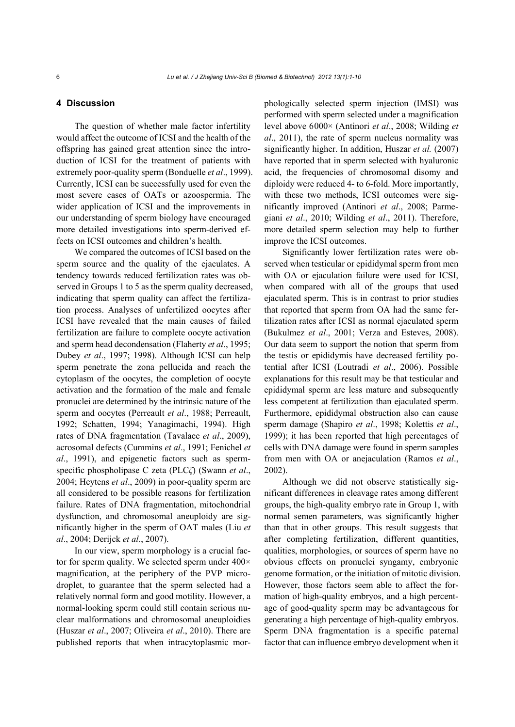## **4 Discussion**

The question of whether male factor infertility would affect the outcome of ICSI and the health of the offspring has gained great attention since the introduction of ICSI for the treatment of patients with extremely poor-quality sperm (Bonduelle *et al*., 1999). Currently, ICSI can be successfully used for even the most severe cases of OATs or azoospermia. The wider application of ICSI and the improvements in our understanding of sperm biology have encouraged more detailed investigations into sperm-derived effects on ICSI outcomes and children's health.

We compared the outcomes of ICSI based on the sperm source and the quality of the ejaculates. A tendency towards reduced fertilization rates was observed in Groups 1 to 5 as the sperm quality decreased, indicating that sperm quality can affect the fertilization process. Analyses of unfertilized oocytes after ICSI have revealed that the main causes of failed fertilization are failure to complete oocyte activation and sperm head decondensation (Flaherty *et al*., 1995; Dubey *et al*., 1997; 1998). Although ICSI can help sperm penetrate the zona pellucida and reach the cytoplasm of the oocytes, the completion of oocyte activation and the formation of the male and female pronuclei are determined by the intrinsic nature of the sperm and oocytes (Perreault *et al*., 1988; Perreault, 1992; Schatten, 1994; Yanagimachi, 1994). High rates of DNA fragmentation (Tavalaee *et al*., 2009), acrosomal defects (Cummins *et al*., 1991; Fenichel *et al*., 1991), and epigenetic factors such as spermspecific phospholipase C zeta (PLC*ζ*) (Swann *et al*., 2004; Heytens *et al*., 2009) in poor-quality sperm are all considered to be possible reasons for fertilization failure. Rates of DNA fragmentation, mitochondrial dysfunction, and chromosomal aneuploidy are significantly higher in the sperm of OAT males (Liu *et al*., 2004; Derijck *et al*., 2007).

In our view, sperm morphology is a crucial factor for sperm quality. We selected sperm under  $400\times$ magnification, at the periphery of the PVP microdroplet, to guarantee that the sperm selected had a relatively normal form and good motility. However, a normal-looking sperm could still contain serious nuclear malformations and chromosomal aneuploidies (Huszar *et al*., 2007; Oliveira *et al*., 2010). There are published reports that when intracytoplasmic morphologically selected sperm injection (IMSI) was performed with sperm selected under a magnification level above 6000× (Antinori *et al*., 2008; Wilding *et al*., 2011), the rate of sperm nucleus normality was significantly higher. In addition, Huszar *et al.* (2007) have reported that in sperm selected with hyaluronic acid, the frequencies of chromosomal disomy and diploidy were reduced 4- to 6-fold. More importantly, with these two methods, ICSI outcomes were significantly improved (Antinori *et al*., 2008; Parmegiani *et al*., 2010; Wilding *et al*., 2011). Therefore, more detailed sperm selection may help to further improve the ICSI outcomes.

Significantly lower fertilization rates were observed when testicular or epididymal sperm from men with OA or ejaculation failure were used for ICSI, when compared with all of the groups that used ejaculated sperm. This is in contrast to prior studies that reported that sperm from OA had the same fertilization rates after ICSI as normal ejaculated sperm (Bukulmez *et al*., 2001; Verza and Esteves, 2008). Our data seem to support the notion that sperm from the testis or epididymis have decreased fertility potential after ICSI (Loutradi *et al*., 2006). Possible explanations for this result may be that testicular and epididymal sperm are less mature and subsequently less competent at fertilization than ejaculated sperm. Furthermore, epididymal obstruction also can cause sperm damage (Shapiro *et al*., 1998; Kolettis *et al*., 1999); it has been reported that high percentages of cells with DNA damage were found in sperm samples from men with OA or anejaculation (Ramos *et al*., 2002).

Although we did not observe statistically significant differences in cleavage rates among different groups, the high-quality embryo rate in Group 1, with normal semen parameters, was significantly higher than that in other groups. This result suggests that after completing fertilization, different quantities, qualities, morphologies, or sources of sperm have no obvious effects on pronuclei syngamy, embryonic genome formation, or the initiation of mitotic division. However, those factors seem able to affect the formation of high-quality embryos, and a high percentage of good-quality sperm may be advantageous for generating a high percentage of high-quality embryos. Sperm DNA fragmentation is a specific paternal factor that can influence embryo development when it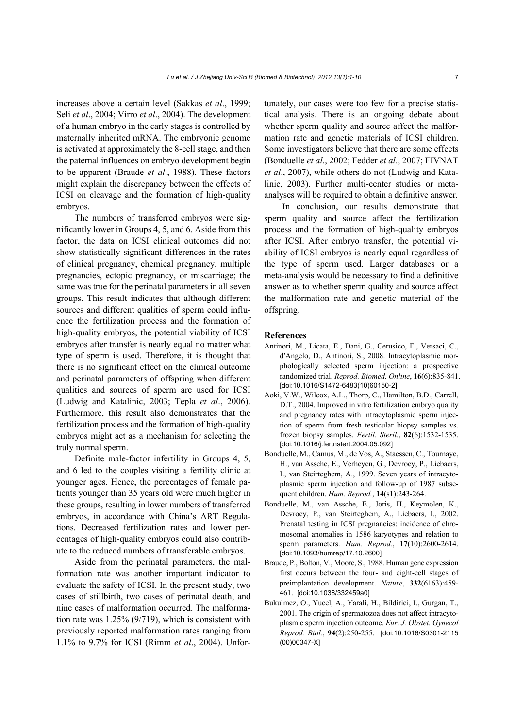increases above a certain level (Sakkas *et al*., 1999; Seli *et al*., 2004; Virro *et al*., 2004). The development of a human embryo in the early stages is controlled by maternally inherited mRNA. The embryonic genome is activated at approximately the 8-cell stage, and then the paternal influences on embryo development begin to be apparent (Braude *et al*., 1988). These factors might explain the discrepancy between the effects of ICSI on cleavage and the formation of high-quality embryos.

The numbers of transferred embryos were significantly lower in Groups 4, 5, and 6. Aside from this factor, the data on ICSI clinical outcomes did not show statistically significant differences in the rates of clinical pregnancy, chemical pregnancy, multiple pregnancies, ectopic pregnancy, or miscarriage; the same was true for the perinatal parameters in all seven groups. This result indicates that although different sources and different qualities of sperm could influence the fertilization process and the formation of high-quality embryos, the potential viability of ICSI embryos after transfer is nearly equal no matter what type of sperm is used. Therefore, it is thought that there is no significant effect on the clinical outcome and perinatal parameters of offspring when different qualities and sources of sperm are used for ICSI (Ludwig and Katalinic, 2003; Tepla *et al*., 2006). Furthermore, this result also demonstrates that the fertilization process and the formation of high-quality embryos might act as a mechanism for selecting the truly normal sperm.

Definite male-factor infertility in Groups 4, 5, and 6 led to the couples visiting a fertility clinic at younger ages. Hence, the percentages of female patients younger than 35 years old were much higher in these groups, resulting in lower numbers of transferred embryos, in accordance with China's ART Regulations. Decreased fertilization rates and lower percentages of high-quality embryos could also contribute to the reduced numbers of transferable embryos.

Aside from the perinatal parameters, the malformation rate was another important indicator to evaluate the safety of ICSI. In the present study, two cases of stillbirth, two cases of perinatal death, and nine cases of malformation occurred. The malformation rate was 1.25% (9/719), which is consistent with previously reported malformation rates ranging from 1.1% to 9.7% for ICSI (Rimm *et al*., 2004). Unfortunately, our cases were too few for a precise statistical analysis. There is an ongoing debate about whether sperm quality and source affect the malformation rate and genetic materials of ICSI children. Some investigators believe that there are some effects (Bonduelle *et al*., 2002; Fedder *et al*., 2007; FIVNAT *et al*., 2007), while others do not (Ludwig and Katalinic, 2003). Further multi-center studies or metaanalyses will be required to obtain a definitive answer.

In conclusion, our results demonstrate that sperm quality and source affect the fertilization process and the formation of high-quality embryos after ICSI. After embryo transfer, the potential viability of ICSI embryos is nearly equal regardless of the type of sperm used. Larger databases or a meta-analysis would be necessary to find a definitive answer as to whether sperm quality and source affect the malformation rate and genetic material of the offspring.

#### **References**

- Antinori, M., Licata, E., Dani, G., Cerusico, F., Versaci, C., d′Angelo, D., Antinori, S., 2008. Intracytoplasmic morphologically selected sperm injection: a prospective randomized trial. *Reprod. Biomed. Online*, **16**(6):835-841. [doi:10.1016/S1472-6483(10)60150-2]
- Aoki, V.W., Wilcox, A.L., Thorp, C., Hamilton, B.D., Carrell, D.T., 2004. Improved in vitro fertilization embryo quality and pregnancy rates with intracytoplasmic sperm injection of sperm from fresh testicular biopsy samples vs. frozen biopsy samples. *Fertil. Steril.*, **82**(6):1532-1535. [doi:10.1016/j.fertnstert.2004.05.092]
- Bonduelle, M., Camus, M., de Vos, A., Staessen, C., Tournaye, H., van Assche, E., Verheyen, G., Devroey, P., Liebaers, I., van Steirteghem, A., 1999. Seven years of intracytoplasmic sperm injection and follow-up of 1987 subsequent children. *Hum. Reprod.*, **14**(s1):243-264.
- Bonduelle, M., van Assche, E., Joris, H., Keymolen, K., Devroey, P., van Steirteghem, A., Liebaers, I., 2002. Prenatal testing in ICSI pregnancies: incidence of chromosomal anomalies in 1586 karyotypes and relation to sperm parameters. *Hum. Reprod.*, **17**(10):2600-2614. [doi:10.1093/humrep/17.10.2600]
- Braude, P., Bolton, V., Moore, S., 1988. Human gene expression first occurs between the four- and eight-cell stages of preimplantation development. *Nature*, **332**(6163):459- 461. [doi:10.1038/332459a0]
- Bukulmez, O., Yucel, A., Yarali, H., Bildirici, I., Gurgan, T., 2001. The origin of spermatozoa does not affect intracytoplasmic sperm injection outcome. *Eur. J. Obstet. Gynecol. Reprod. Biol.*, **94**(2):250-255. [doi:10.1016/S0301-2115 (00)00347-X]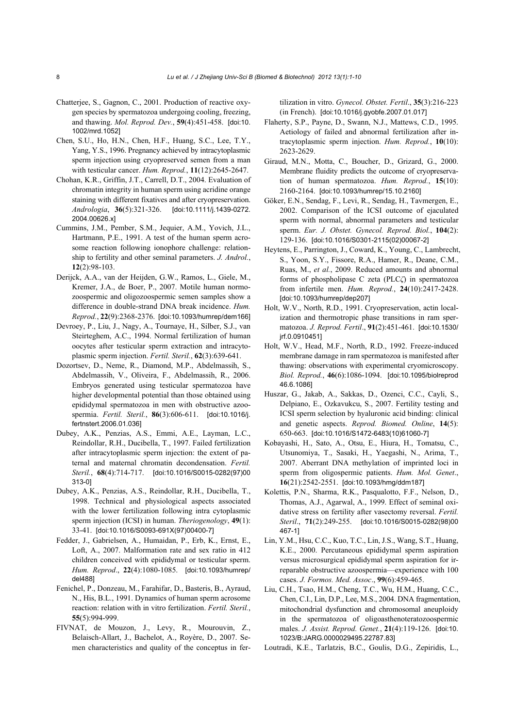- Chatterjee, S., Gagnon, C., 2001. Production of reactive oxygen species by spermatozoa undergoing cooling, freezing, and thawing. *Mol. Reprod. Dev.*, **59**(4):451-458. [doi:10. 1002/mrd.1052]
- Chen, S.U., Ho, H.N., Chen, H.F., Huang, S.C., Lee, T.Y., Yang, Y.S., 1996. Pregnancy achieved by intracytoplasmic sperm injection using cryopreserved semen from a man with testicular cancer. *Hum. Reprod.*, **11**(12):2645-2647.
- Chohan, K.R., Griffin, J.T., Carrell, D.T., 2004. Evaluation of chromatin integrity in human sperm using acridine orange staining with different fixatives and after cryopreservation. *Andrologia*, **36**(5):321-326. [doi:10.1111/j.1439-0272. 2004.00626.x]
- Cummins, J.M., Pember, S.M., Jequier, A.M., Yovich, J.L., Hartmann, P.E., 1991. A test of the human sperm acrosome reaction following ionophore challenge: relationship to fertility and other seminal parameters. *J. Androl.*, **12**(2):98-103.
- Derijck, A.A., van der Heijden, G.W., Ramos, L., Giele, M., Kremer, J.A., de Boer, P., 2007. Motile human normozoospermic and oligozoospermic semen samples show a difference in double-strand DNA break incidence. *Hum. Reprod.*, **22**(9):2368-2376. [doi:10.1093/humrep/dem166]
- Devroey, P., Liu, J., Nagy, A., Tournaye, H., Silber, S.J., van Steirteghem, A.C., 1994. Normal fertilization of human oocytes after testicular sperm extraction and intracytoplasmic sperm injection. *Fertil. Steril.*, **62**(3):639-641.
- Dozortsev, D., Neme, R., Diamond, M.P., Abdelmassih, S., Abdelmassih, V., Oliveira, F., Abdelmassih, R., 2006. Embryos generated using testicular spermatozoa have higher developmental potential than those obtained using epididymal spermatozoa in men with obstructive azoospermia. *Fertil. Steril.*, **86**(3):606-611. [doi:10.1016/j. fertnstert.2006.01.036]
- Dubey, A.K., Penzias, A.S., Emmi, A.E., Layman, L.C., Reindollar, R.H., Ducibella, T., 1997. Failed fertilization after intracytoplasmic sperm injection: the extent of paternal and maternal chromatin decondensation. *Fertil. Steril.*, **68**(4):714-717. [doi:10.1016/S0015-0282(97)00 313-0]
- Dubey, A.K., Penzias, A.S., Reindollar, R.H., Ducibella, T., 1998. Technical and physiological aspects associated with the lower fertilization following intra cytoplasmic sperm injection (ICSI) in human. *Theriogenology*, **49**(1): 33-41. [doi:10.1016/S0093-691X(97)00400-7]
- Fedder, J., Gabrielsen, A., Humaidan, P., Erb, K., Ernst, E., Loft, A., 2007. Malformation rate and sex ratio in 412 children conceived with epididymal or testicular sperm. *Hum. Reprod*., **22**(4):1080-1085. [doi:10.1093/humrep/ del488]
- Fenichel, P., Donzeau, M., Farahifar, D., Basteris, B., Ayraud, N., His, B.L., 1991. Dynamics of human sperm acrosome reaction: relation with in vitro fertilization. *Fertil. Steril.*, **55**(5):994-999.
- FIVNAT, de Mouzon, J., Levy, R., Mourouvin, Z., Belaisch-Allart, J., Bachelot, A., Royère, D., 2007. Semen characteristics and quality of the conceptus in fer-

tilization in vitro. *Gynecol. Obstet. Fertil*., **35**(3):216-223 (in French). [doi:10.1016/j.gyobfe.2007.01.017]

- Flaherty, S.P., Payne, D., Swann, N.J., Mattews, C.D., 1995. Aetiology of failed and abnormal fertilization after intracytoplasmic sperm injection. *Hum. Reprod.*, **10**(10): 2623-2629.
- Giraud, M.N., Motta, C., Boucher, D., Grizard, G., 2000. Membrane fluidity predicts the outcome of cryopreservation of human spermatozoa. *Hum. Reprod.*, **15**(10): 2160-2164. [doi:10.1093/humrep/15.10.2160]
- Göker, E.N., Sendag, F., Levi, R., Sendag, H., Tavmergen, E., 2002. Comparison of the ICSI outcome of ejaculated sperm with normal, abnormal parameters and testicular sperm. *Eur. J. Obstet. Gynecol. Reprod. Biol.*, **104**(2): 129-136. [doi:10.1016/S0301-2115(02)00067-2]
- Heytens, E., Parrington, J., Coward, K., Young, C., Lambrecht, S., Yoon, S.Y., Fissore, R.A., Hamer, R., Deane, C.M., Ruas, M., *et al.*, 2009. Reduced amounts and abnormal forms of phospholipase C zeta (PLC*ζ*) in spermatozoa from infertile men. *Hum. Reprod.*, **24**(10):2417-2428. [doi:10.1093/humrep/dep207]
- Holt, W.V., North, R.D., 1991. Cryopreservation, actin localization and thermotropic phase transitions in ram spermatozoa. *J. Reprod. Fertil*., **91**(2):451-461. [doi:10.1530/ jrf.0.0910451]
- Holt, W.V., Head, M.F., North, R.D., 1992. Freeze-induced membrane damage in ram spermatozoa is manifested after thawing: observations with experimental cryomicroscopy. *Biol. Reprod.*, **46**(6):1086-1094. [doi:10.1095/biolreprod 46.6.1086]
- Huszar, G., Jakab, A., Sakkas, D., Ozenci, C.C., Cayli, S., Delpiano, E., Ozkavukcu, S., 2007. Fertility testing and ICSI sperm selection by hyaluronic acid binding: clinical and genetic aspects. *Reprod. Biomed. Online*, **14**(5): 650-663. [doi:10.1016/S1472-6483(10)61060-7]
- Kobayashi, H., Sato, A., Otsu, E., Hiura, H., Tomatsu, C., Utsunomiya, T., Sasaki, H., Yaegashi, N., Arima, T., 2007. Aberrant DNA methylation of imprinted loci in sperm from oligospermic patients. *Hum. Mol. Genet*., **16**(21):2542-2551. [doi:10.1093/hmg/ddm187]
- Kolettis, P.N., Sharma, R.K., Pasqualotto, F.F., Nelson, D., Thomas, A.J., Agarwal, A., 1999. Effect of seminal oxidative stress on fertility after vasectomy reversal. *Fertil. Steril*., **71**(2):249-255. [doi:10.1016/S0015-0282(98)00 467-1]
- Lin, Y.M., Hsu, C.C., Kuo, T.C., Lin, J.S., Wang, S.T., Huang, K.E., 2000. Percutaneous epididymal sperm aspiration versus microsurgical epididymal sperm aspiration for irreparable obstructive azoospermia—experience with 100 cases. *J. Formos. Med. Assoc*., **99**(6):459-465.
- Liu, C.H., Tsao, H.M., Cheng, T.C., Wu, H.M., Huang, C.C., Chen, C.I., Lin, D.P., Lee, M.S., 2004. DNA fragmentation, mitochondrial dysfunction and chromosomal aneuploidy in the spermatozoa of oligoasthenoteratozoospermic males. *J. Assist. Reprod. Genet.*, **21**(4):119-126. [doi:10. 1023/B:JARG.0000029495.22787.83]
- Loutradi, K.E., Tarlatzis, B.C., Goulis, D.G., Zepiridis, L.,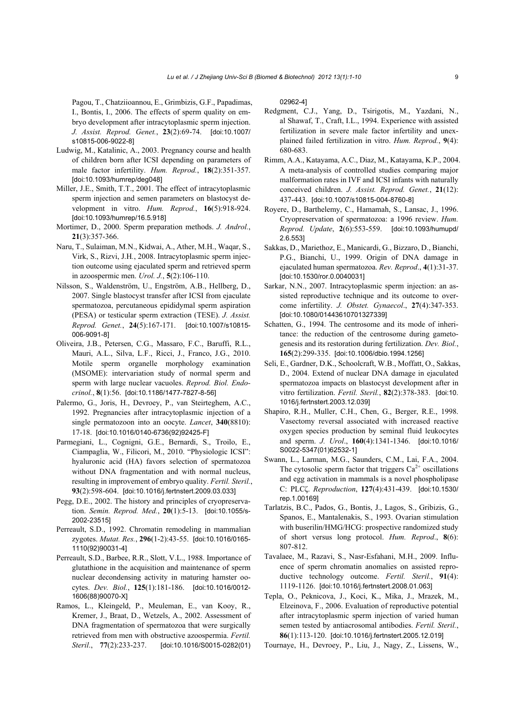Pagou, T., Chatziioannou, E., Grimbizis, G.F., Papadimas, I., Bontis, I., 2006. The effects of sperm quality on embryo development after intracytoplasmic sperm injection. *J. Assist. Reprod. Genet.*, **23**(2):69-74. [doi:10.1007/ s10815-006-9022-8]

- Ludwig, M., Katalinic, A., 2003. Pregnancy course and health of children born after ICSI depending on parameters of male factor infertility. *Hum. Reprod.*, **18**(2):351-357. [doi:10.1093/humrep/deg048]
- Miller, J.E., Smith, T.T., 2001. The effect of intracytoplasmic sperm injection and semen parameters on blastocyst development in vitro. *Hum. Reprod.*, **16**(5):918-924. [doi:10.1093/humrep/16.5.918]
- Mortimer, D., 2000. Sperm preparation methods. *J. Androl.*, **21**(3):357-366.
- Naru, T., Sulaiman, M.N., Kidwai, A., Ather, M.H., Waqar, S., Virk, S., Rizvi, J.H*.*, 2008. Intracytoplasmic sperm injection outcome using ejaculated sperm and retrieved sperm in azoospermic men. *Urol. J.*, **5**(2):106-110.
- Nilsson, S., Waldenström, U., Engström, A.B., Hellberg, D., 2007. Single blastocyst transfer after ICSI from ejaculate spermatozoa, percutaneous epididymal sperm aspiration (PESA) or testicular sperm extraction (TESE). *J. Assist. Reprod. Genet.*, **24**(5):167-171. [doi:10.1007/s10815- 006-9091-8]
- Oliveira, J.B., Petersen, C.G., Massaro, F.C., Baruffi, R.L., Mauri, A.L., Silva, L.F., Ricci, J., Franco, J.G., 2010. Motile sperm organelle morphology examination (MSOME): intervariation study of normal sperm and sperm with large nuclear vacuoles. *Reprod. Biol. Endocrinol.*, **8**(1):56. [doi:10.1186/1477-7827-8-56]
- Palermo, G., Joris, H., Devroey, P., van Steirteghem, A.C., 1992. Pregnancies after intracytoplasmic injection of a single permatozoon into an oocyte. *Lancet*, **340**(8810): 17-18. [doi:10.1016/0140-6736(92)92425-F]
- Parmegiani, L., Cognigni, G.E., Bernardi, S., Troilo, E., Ciampaglia, W., Filicori, M., 2010. "Physiologic ICSI": hyaluronic acid (HA) favors selection of spermatozoa without DNA fragmentation and with normal nucleus, resulting in improvement of embryo quality. *Fertil. Steril.*, **93**(2):598-604. [doi:10.1016/j.fertnstert.2009.03.033]
- Pegg, D.E., 2002. The history and principles of cryopreservation. *Semin. Reprod. Med.*, **20**(1):5-13. [doi:10.1055/s-2002-23515]
- Perreault, S.D., 1992. Chromatin remodeling in mammalian zygotes. *Mutat. Res.*, **296**(1-2):43-55. [doi:10.1016/0165- 1110(92)90031-4]
- Perreault, S.D., Barbee, R.R., Slott, V.L., 1988. Importance of glutathione in the acquisition and maintenance of sperm nuclear decondensing activity in maturing hamster oocytes. *Dev. Biol.*, **125**(1):181-186. [doi:10.1016/0012- 1606(88)90070-X]
- Ramos, L., Kleingeld, P., Meuleman, E., van Kooy, R., Kremer, J., Braat, D., Wetzels, A., 2002. Assessment of DNA fragmentation of spermatozoa that were surgically retrieved from men with obstructive azoospermia. *Fertil. Steril*., **77**(2):233-237. [doi:10.1016/S0015-0282(01)

02962-4]

- Redgment, C.J., Yang, D., Tsirigotis, M., Yazdani, N., al Shawaf, T., Craft, I.L., 1994. Experience with assisted fertilization in severe male factor infertility and unexplained failed fertilization in vitro. *Hum. Reprod.*, **9**(4): 680-683.
- Rimm, A.A., Katayama, A.C., Diaz, M., Katayama, K.P., 2004. A meta-analysis of controlled studies comparing major malformation rates in IVF and ICSI infants with naturally conceived children. *J. Assist. Reprod. Genet.*, **21**(12): 437-443. [doi:10.1007/s10815-004-8760-8]
- Royere, D., Barthelemy, C., Hamamah, S., Lansac, J., 1996. Cryopreservation of spermatozoa: a 1996 review. *Hum. Reprod. Update*, **2**(6):553-559. [doi:10.1093/humupd/ 2.6.553]
- Sakkas, D., Mariethoz, E., Manicardi, G., Bizzaro, D., Bianchi, P.G., Bianchi, U., 1999. Origin of DNA damage in ejaculated human spermatozoa. *Rev. Reprod*., **4**(1):31-37. [doi:10.1530/ror.0.0040031]
- Sarkar, N.N., 2007. Intracytoplasmic sperm injection: an assisted reproductive technique and its outcome to overcome infertility. *J. Obstet. Gynaecol*., **27**(4):347-353. [doi:10.1080/01443610701327339]
- Schatten, G., 1994. The centrosome and its mode of inheritance: the reduction of the centrosome during gametogenesis and its restoration during fertilization. *Dev. Biol.*, **165**(2):299-335. [doi:10.1006/dbio.1994.1256]
- Seli, E., Gardner, D.K., Schoolcraft, W.B., Moffatt, O., Sakkas, D., 2004. Extend of nuclear DNA damage in ejaculated spermatozoa impacts on blastocyst development after in vitro fertilization. *Fertil. Steril.*, **82**(2):378-383. [doi:10. 1016/j.fertnstert.2003.12.039]
- Shapiro, R.H., Muller, C.H., Chen, G., Berger, R.E., 1998. Vasectomy reversal associated with increased reactive oxygen species production by seminal fluid leukocytes and sperm. *J. Urol*., **160**(4):1341-1346. [doi:10.1016/ S0022-5347(01)62532-1]
- Swann, L., Larman, M.G., Saunders, C.M., Lai, F.A., 2004. The cytosolic sperm factor that triggers  $Ca<sup>2+</sup>$  oscillations and egg activation in mammals is a novel phospholipase C: PLCζ. *Reproduction*, **127**(4):431-439. [doi:10.1530/ rep.1.00169]
- Tarlatzis, B.C., Pados, G., Bontis, J., Lagos, S., Gribizis, G., Spanos, E., Mantalenakis, S., 1993. Ovarian stimulation with buserilin/HMG/HCG: prospective randomized study of short versus long protocol. *Hum. Reprod*., **8**(6): 807-812.
- Tavalaee, M., Razavi, S., Nasr-Esfahani, M.H., 2009. Influence of sperm chromatin anomalies on assisted reproductive technology outcome. *Fertil. Steril.*, **91**(4): 1119-1126. [doi:10.1016/j.fertnstert.2008.01.063]
- Tepla, O., Peknicova, J., Koci, K., Mika, J., Mrazek, M., Elzeinova, F., 2006. Evaluation of reproductive potential after intracytoplasmic sperm injection of varied human semen tested by antiacrosomal antibodies. *Fertil. Steril.*, **86**(1):113-120. [doi:10.1016/j.fertnstert.2005.12.019]
- Tournaye, H., Devroey, P., Liu, J., Nagy, Z., Lissens, W.,